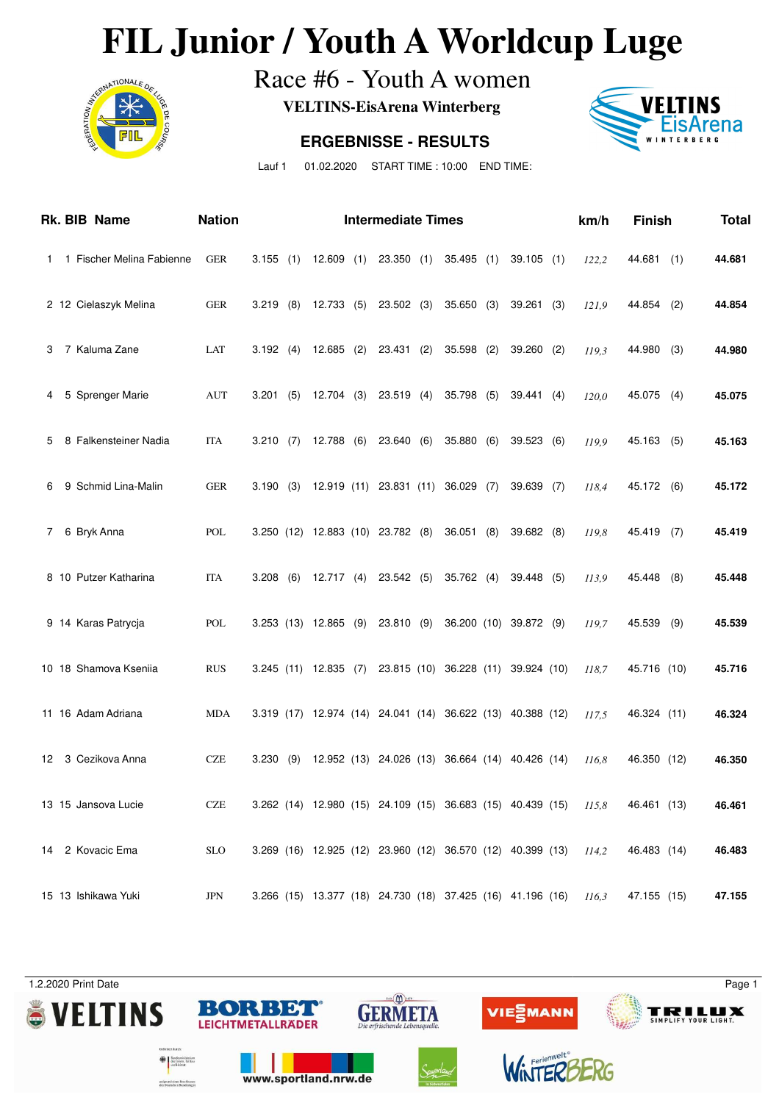# **FIL Junior / Youth A Worldcup Luge**<br>Race #6 - Youth A women



Race #6 - Youth A women

**VELTINS-EisArena Winterberg**

### **ERGEBNISSE - RESULTS**



Lauf 1 01.02.2020 START TIME : 10:00 END TIME:

|   | Rk. BIB Name                | <b>Nation</b> | <b>Intermediate Times</b> |  |                          |  |                                   |  |                                                            |  |                       |  |       | <b>Finish</b> | <b>Total</b> |  |
|---|-----------------------------|---------------|---------------------------|--|--------------------------|--|-----------------------------------|--|------------------------------------------------------------|--|-----------------------|--|-------|---------------|--------------|--|
|   | 1 1 Fischer Melina Fabienne | <b>GER</b>    |                           |  |                          |  |                                   |  | 3.155 (1) 12.609 (1) 23.350 (1) 35.495 (1) 39.105 (1)      |  |                       |  | 122,2 | 44.681 (1)    | 44.681       |  |
|   | 2 12 Cielaszyk Melina       | <b>GER</b>    |                           |  |                          |  |                                   |  | 3.219 (8) 12.733 (5) 23.502 (3) 35.650 (3) 39.261 (3)      |  |                       |  | 121,9 | 44.854 (2)    | 44.854       |  |
| 3 | 7 Kaluma Zane               | LAT           |                           |  |                          |  |                                   |  | 3.192 (4) 12.685 (2) 23.431 (2) 35.598 (2) 39.260 (2)      |  |                       |  | 119.3 | 44.980 (3)    | 44.980       |  |
| 4 | 5 Sprenger Marie            | AUT           |                           |  |                          |  |                                   |  | 3.201 (5) 12.704 (3) 23.519 (4) 35.798 (5) 39.441 (4)      |  |                       |  | 120,0 | 45.075 (4)    | 45.075       |  |
| 5 | 8 Falkensteiner Nadia       | <b>ITA</b>    |                           |  | $3.210$ (7) $12.788$ (6) |  | 23.640 (6)                        |  |                                                            |  | 35.880 (6) 39.523 (6) |  | 119,9 | 45.163 (5)    | 45.163       |  |
| 6 | 9 Schmid Lina-Malin         | <b>GER</b>    |                           |  |                          |  |                                   |  | 3.190 (3) 12.919 (11) 23.831 (11) 36.029 (7)               |  | 39.639 (7)            |  | 118,4 | 45.172 (6)    | 45.172       |  |
| 7 | 6 Bryk Anna                 | POL           |                           |  |                          |  | 3.250 (12) 12.883 (10) 23.782 (8) |  | 36.051(8)                                                  |  | 39.682 (8)            |  | 119,8 | 45.419 (7)    | 45.419       |  |
|   | 8 10 Putzer Katharina       | <b>ITA</b>    | $3.208$ (6)               |  |                          |  |                                   |  | 12.717 (4) 23.542 (5) 35.762 (4) 39.448 (5)                |  |                       |  | 113,9 | 45.448 (8)    | 45.448       |  |
|   | 9 14 Karas Patrycja         | POL           |                           |  |                          |  |                                   |  | 3.253 (13) 12.865 (9) 23.810 (9) 36.200 (10) 39.872 (9)    |  |                       |  | 119.7 | 45.539 (9)    | 45.539       |  |
|   | 10 18 Shamova Kseniia       | <b>RUS</b>    |                           |  |                          |  |                                   |  | 3.245 (11) 12.835 (7) 23.815 (10) 36.228 (11) 39.924 (10)  |  |                       |  | 118,7 | 45.716 (10)   | 45.716       |  |
|   | 11 16 Adam Adriana          | <b>MDA</b>    |                           |  |                          |  |                                   |  | 3.319 (17) 12.974 (14) 24.041 (14) 36.622 (13) 40.388 (12) |  |                       |  | 117.5 | 46.324 (11)   | 46.324       |  |
|   | 12 3 Cezikova Anna          | <b>CZE</b>    | 3.230(9)                  |  |                          |  |                                   |  | 12.952 (13) 24.026 (13) 36.664 (14) 40.426 (14)            |  |                       |  | 116,8 | 46.350 (12)   | 46.350       |  |
|   | 13 15 Jansova Lucie         | CZE           |                           |  |                          |  |                                   |  | 3.262 (14) 12.980 (15) 24.109 (15) 36.683 (15) 40.439 (15) |  |                       |  | 115.8 | 46.461 (13)   | 46.461       |  |
|   | 14 2 Kovacic Ema            | <b>SLO</b>    |                           |  |                          |  |                                   |  | 3.269 (16) 12.925 (12) 23.960 (12) 36.570 (12) 40.399 (13) |  |                       |  | 114,2 | 46.483 (14)   | 46.483       |  |
|   | 15 13 Ishikawa Yuki         | <b>JPN</b>    |                           |  |                          |  |                                   |  | 3.266 (15) 13.377 (18) 24.730 (18) 37.425 (16) 41.196 (16) |  |                       |  | 116,3 | 47.155 (15)   | 47.155       |  |

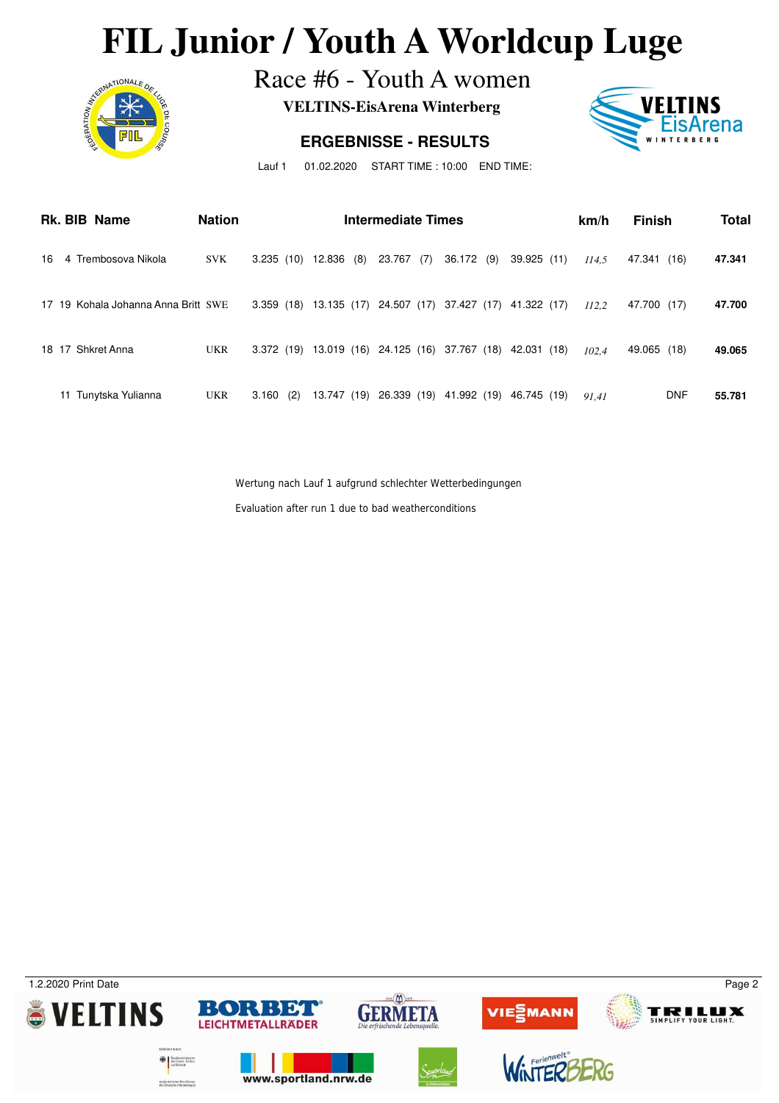### **FIL Junior / Youth A Worldcup Luge**<br>Race #6 - Youth A women



### Race #6 - Youth A women

**VELTINS-EisArena Winterberg**

### **ERGEBNISSE - RESULTS**



Lauf 1 01.02.2020 START TIME : 10:00 END TIME:

| Rk. BIB Name<br><b>Nation</b> |  |                                     |            | Intermediate Times |  |             |  |                                    |  |                                                            |  |             |  |       | <b>Finish</b> |            | <b>Total</b> |
|-------------------------------|--|-------------------------------------|------------|--------------------|--|-------------|--|------------------------------------|--|------------------------------------------------------------|--|-------------|--|-------|---------------|------------|--------------|
|                               |  | 16 4 Trembosova Nikola              | <b>SVK</b> | 3.235(10)          |  | 12.836 (8)  |  | 23.767 (7)                         |  | 36.172 (9)                                                 |  | 39.925 (11) |  | 114.5 | 47.341 (16)   |            | 47.341       |
|                               |  | 17 19 Kohala Johanna Anna Britt SWE |            |                    |  |             |  |                                    |  | 3.359 (18) 13.135 (17) 24.507 (17) 37.427 (17) 41.322 (17) |  |             |  | 112.2 | 47.700 (17)   |            | 47.700       |
|                               |  | 18 17 Shkret Anna                   | <b>UKR</b> |                    |  |             |  | 3.372 (19) 13.019 (16) 24.125 (16) |  | 37.767 (18) 42.031 (18)                                    |  |             |  | 102.4 | 49.065 (18)   |            | 49.065       |
|                               |  | 11 Tunytska Yulianna                | <b>UKR</b> | $3.160$ (2)        |  | 13.747 (19) |  |                                    |  | 26.339 (19) 41.992 (19)                                    |  | 46.745 (19) |  | 91.41 |               | <b>DNF</b> | 55.781       |

Wertung nach Lauf 1 aufgrund schlechter Wetterbedingungen

Evaluation after run 1 due to bad weatherconditions

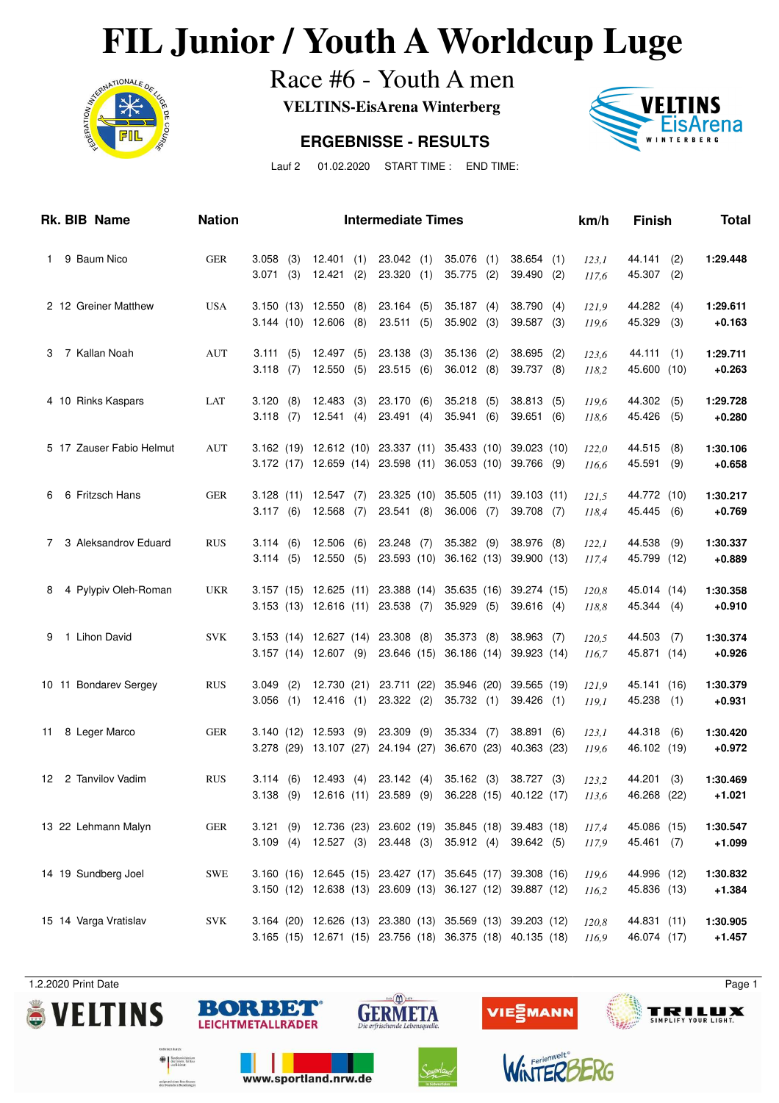# **FIL Junior / Youth A Worldcup Luge**<br>Race #6 - Youth A men vELTINS-EisArena Winterberg



Race #6 - Youth A men

**VELTINS-EisArena Winterberg**

### **ERGEBNISSE - RESULTS**



Lauf 2 01.02.2020 START TIME : END TIME:

|    | Rk. BIB Name             | <b>Nation</b> |                      |            |                                                  |            | <b>Intermediate Times</b>                                                |     |                                                                                                                          |            |                           |            | km/h           | <b>Finish</b>              |            | <b>Total</b>         |
|----|--------------------------|---------------|----------------------|------------|--------------------------------------------------|------------|--------------------------------------------------------------------------|-----|--------------------------------------------------------------------------------------------------------------------------|------------|---------------------------|------------|----------------|----------------------------|------------|----------------------|
| 1. | 9 Baum Nico              | <b>GER</b>    | 3.058<br>3.071       | (3)<br>(3) | 12.401(1)<br>12.421                              | (2)        | 23.042(1)<br>23.320(1)                                                   |     | 35.076<br>35.775                                                                                                         | (1)<br>(2) | 38.654<br>39.490          | (1)<br>(2) | 123,1<br>117,6 | 44.141<br>45.307           | (2)<br>(2) | 1:29.448             |
|    | 2 12 Greiner Matthew     | <b>USA</b>    | 3.144 (10) 12.606    |            | 3.150 (13) 12.550                                | (8)<br>(8) | $23.164$ (5)<br>23.511(5)                                                |     | 35.187(4)<br>35.902                                                                                                      | (3)        | 38.790<br>39.587 (3)      | (4)        | 121,9<br>119,6 | 44.282<br>45.329           | (4)<br>(3) | 1:29.611<br>$+0.163$ |
| 3  | 7 Kallan Noah            | AUT           | 3.111<br>3.118       | (5)<br>(7) | 12.497<br>12.550                                 | (5)<br>(5) | 23.138<br>23.515(6)                                                      | (3) | 35.136<br>36.012(8)                                                                                                      | (2)        | 38.695<br>39.737 (8)      | (2)        | 123,6<br>118,2 | 44.111<br>45.600 (10)      | (1)        | 1:29.711<br>$+0.263$ |
|    | 4 10 Rinks Kaspars       | LAT           | 3.120<br>$3.118$ (7) | (8)        | 12.483<br>12.541                                 | (3)<br>(4) | 23.170 (6)<br>23.491(4)                                                  |     | 35.218<br>35.941                                                                                                         | (5)<br>(6) | 38.813<br>39.651          | (5)<br>(6) | 119,6<br>118,6 | 44.302<br>45.426           | (5)<br>(5) | 1:29.728<br>$+0.280$ |
|    | 5 17 Zauser Fabio Helmut | AUT           |                      |            |                                                  |            | 3.162 (19) 12.612 (10) 23.337 (11)<br>3.172 (17) 12.659 (14) 23.598 (11) |     | 35.433 (10)<br>36.053 (10)                                                                                               |            | 39.023(10)<br>39.766 (9)  |            | 122,0<br>116,6 | 44.515<br>45.591           | (8)<br>(9) | 1:30.106<br>$+0.658$ |
| 6  | 6 Fritzsch Hans          | <b>GER</b>    | 3.117(6)             |            | 3.128 (11) 12.547<br>12.568                      | (7)<br>(7) | 23.325 (10)<br>23.541(8)                                                 |     | 35.505 (11)<br>36.006                                                                                                    | (7)        | 39.103 (11)<br>39.708 (7) |            | 121,5<br>118,4 | 44.772 (10)<br>45.445      | (6)        | 1:30.217<br>$+0.769$ |
| 7  | 3 Aleksandrov Eduard     | <b>RUS</b>    | 3.114<br>3.114(5)    | (6)        | 12.506<br>12.550                                 | (6)<br>(5) | 23.248 (7)<br>23.593 (10)                                                |     | 35.382 (9)<br>36.162 (13)                                                                                                |            | 38.976 (8)<br>39.900 (13) |            | 122,1<br>117,4 | 44.538<br>45.799 (12)      | (9)        | 1:30.337<br>$+0.889$ |
| 8  | 4 Pylypiv Oleh-Roman     | <b>UKR</b>    |                      |            | 3.157 (15) 12.625 (11)                           |            | 23.388 (14)<br>3.153 (13) 12.616 (11) 23.538 (7)                         |     | 35.635 (16)<br>35.929                                                                                                    | (5)        | 39.274 (15)<br>39.616(4)  |            | 120,8<br>118,8 | 45.014 (14)<br>45.344      | (4)        | 1:30.358<br>$+0.910$ |
| 9  | 1 Lihon David            | <b>SVK</b>    |                      |            | 3.153 (14) 12.627 (14)<br>$3.157(14)$ 12.607 (9) |            | 23.308<br>23.646 (15)                                                    | (8) | 35.373<br>36.186 (14)                                                                                                    | (8)        | 38.963 (7)<br>39.923 (14) |            | 120,5<br>116,7 | 44.503<br>45.871 (14)      | (7)        | 1:30.374<br>$+0.926$ |
|    | 10 11 Bondarev Sergey    | <b>RUS</b>    | 3.049<br>3.056       | (2)<br>(1) | 12.730 (21)<br>12.416                            | (1)        | 23.711 (22)<br>23.322 (2)                                                |     | 35.946 (20)<br>35.732(1)                                                                                                 |            | 39.565 (19)<br>39.426 (1) |            | 121,9<br>119,1 | 45.141 (16)<br>45.238      | (1)        | 1:30.379<br>$+0.931$ |
| 11 | 8 Leger Marco            | <b>GER</b>    |                      |            | 3.140 (12) 12.593<br>3.278 (29) 13.107 (27)      | (9)        | 23.309<br>24.194 (27)                                                    | (9) | 35.334<br>36.670 (23)                                                                                                    | (7)        | 38.891<br>40.363 (23)     | (6)        | 123,1<br>119,6 | 44.318<br>46.102 (19)      | (6)        | 1:30.420<br>$+0.972$ |
|    | 12 2 Tanvilov Vadim      | <b>RUS</b>    | 3.114(6)             |            | 12.493(4)                                        |            | 23.142(4)                                                                |     | $35.162$ (3)<br>3.138 (9) 12.616 (11) 23.589 (9) 36.228 (15) 40.122 (17)                                                 |            | 38.727 (3)                |            | 123,2<br>113,6 | 44.201<br>46.268 (22)      | (3)        | 1:30.469<br>$+1.021$ |
|    | 13 22 Lehmann Malyn      | <b>GER</b>    |                      |            |                                                  |            |                                                                          |     | 3.121 (9) 12.736 (23) 23.602 (19) 35.845 (18) 39.483 (18)<br>3.109 (4) 12.527 (3) 23.448 (3) 35.912 (4) 39.642 (5)       |            |                           |            | 117,4<br>117,9 | 45.086 (15)<br>45.461 (7)  |            | 1:30.547<br>$+1.099$ |
|    | 14 19 Sundberg Joel      | <b>SWE</b>    |                      |            |                                                  |            |                                                                          |     | 3.160 (16) 12.645 (15) 23.427 (17) 35.645 (17) 39.308 (16)<br>3.150 (12) 12.638 (13) 23.609 (13) 36.127 (12) 39.887 (12) |            |                           |            | 119,6<br>116,2 | 44.996 (12)<br>45.836 (13) |            | 1:30.832<br>$+1.384$ |
|    | 15 14 Varga Vratislav    | <b>SVK</b>    |                      |            |                                                  |            |                                                                          |     | 3.164 (20) 12.626 (13) 23.380 (13) 35.569 (13) 39.203 (12)<br>3.165 (15) 12.671 (15) 23.756 (18) 36.375 (18) 40.135 (18) |            |                           |            | 120,8<br>116,9 | 44.831 (11)<br>46.074 (17) |            | 1:30.905<br>$+1.457$ |











www.sportland.nrw.de



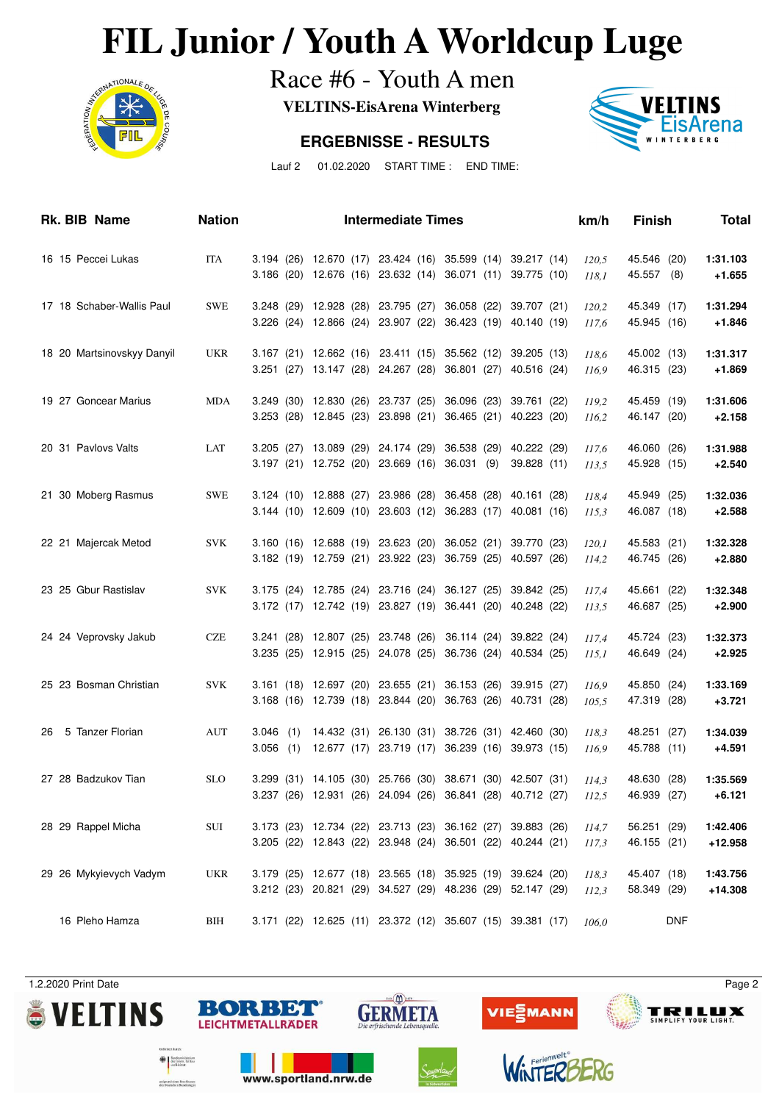# **FIL Junior / Youth A Worldcup Luge**<br>Race #6 - Youth A men vELTINS-EisArena Winterberg



Race #6 - Youth A men

**VELTINS-EisArena Winterberg**

### **ERGEBNISSE - RESULTS**



Lauf 2 01.02.2020 START TIME : END TIME:

| Rk. BIB Name               | <b>Nation</b> |              | <b>Intermediate Times</b>                     |                                                                                                              |             | km/h  | <b>Finish</b>             | <b>Total</b>         |
|----------------------------|---------------|--------------|-----------------------------------------------|--------------------------------------------------------------------------------------------------------------|-------------|-------|---------------------------|----------------------|
| 16 15 Peccei Lukas         | <b>ITA</b>    |              |                                               | 3.194 (26) 12.670 (17) 23.424 (16) 35.599 (14) 39.217 (14)<br>3.186 (20) 12.676 (16) 23.632 (14) 36.071 (11) | 39.775 (10) | 120,5 | 45.546 (20)<br>45.557 (8) | 1:31.103<br>$+1.655$ |
|                            |               |              |                                               |                                                                                                              |             | 118,1 |                           |                      |
| 17 18 Schaber-Wallis Paul  | <b>SWE</b>    |              | 3.248 (29) 12.928 (28) 23.795 (27)            | 36.058 (22)                                                                                                  | 39.707 (21) | 120,2 | 45.349 (17)               | 1:31.294             |
|                            |               |              |                                               | 3.226 (24) 12.866 (24) 23.907 (22) 36.423 (19)                                                               | 40.140 (19) | 117,6 | 45.945 (16)               | $+1.846$             |
| 18 20 Martsinovskyy Danyil | <b>UKR</b>    |              |                                               | 3.167 (21) 12.662 (16) 23.411 (15) 35.562 (12)                                                               | 39.205 (13) | 118,6 | 45.002 (13)               | 1:31.317             |
|                            |               |              |                                               | 3.251 (27) 13.147 (28) 24.267 (28) 36.801 (27)                                                               | 40.516 (24) | 116,9 | 46.315 (23)               | +1.869               |
| 19 27 Goncear Marius       | <b>MDA</b>    |              |                                               | 3.249 (30) 12.830 (26) 23.737 (25) 36.096 (23)                                                               | 39.761 (22) | 119,2 | 45.459 (19)               | 1:31.606             |
|                            |               |              |                                               | 3.253 (28) 12.845 (23) 23.898 (21) 36.465 (21) 40.223 (20)                                                   |             | 116,2 | 46.147 (20)               | $+2.158$             |
| 20 31 Pavlovs Valts        | LAT           |              |                                               | 3.205 (27) 13.089 (29) 24.174 (29) 36.538 (29)                                                               | 40.222 (29) | 117,6 | 46.060 (26)               | 1:31.988             |
|                            |               |              | 3.197 (21) 12.752 (20) 23.669 (16) 36.031 (9) |                                                                                                              | 39.828 (11) | 113.5 | 45.928 (15)               | $+2.540$             |
| 21 30 Moberg Rasmus        | <b>SWE</b>    |              |                                               | 3.124 (10) 12.888 (27) 23.986 (28) 36.458 (28)                                                               | 40.161 (28) | 118,4 | 45.949 (25)               | 1:32.036             |
|                            |               |              |                                               | 3.144 (10) 12.609 (10) 23.603 (12) 36.283 (17) 40.081 (16)                                                   |             | 115,3 | 46.087 (18)               | $+2.588$             |
| 22 21 Majercak Metod       | <b>SVK</b>    |              |                                               | 3.160 (16) 12.688 (19) 23.623 (20) 36.052 (21) 39.770 (23)                                                   |             | 120,1 | 45.583 (21)               | 1:32.328             |
|                            |               |              |                                               | 3.182 (19) 12.759 (21) 23.922 (23) 36.759 (25) 40.597 (26)                                                   |             | 114,2 | 46.745 (26)               | $+2.880$             |
| 23 25 Gbur Rastislav       | <b>SVK</b>    |              |                                               | 3.175 (24) 12.785 (24) 23.716 (24) 36.127 (25) 39.842 (25)                                                   |             | 117,4 | 45.661 (22)               | 1:32.348             |
|                            |               |              |                                               | 3.172 (17) 12.742 (19) 23.827 (19) 36.441 (20) 40.248 (22)                                                   |             | 113,5 | 46.687 (25)               | $+2.900$             |
| 24 24 Veprovsky Jakub      | <b>CZE</b>    |              |                                               | 3.241 (28) 12.807 (25) 23.748 (26) 36.114 (24) 39.822 (24)                                                   |             | 117,4 | 45.724 (23)               | 1:32.373             |
|                            |               |              |                                               | 3.235 (25) 12.915 (25) 24.078 (25) 36.736 (24) 40.534 (25)                                                   |             | 115,1 | 46.649 (24)               | $+2.925$             |
| 25 23 Bosman Christian     | <b>SVK</b>    |              |                                               | 3.161 (18) 12.697 (20) 23.655 (21) 36.153 (26) 39.915 (27)                                                   |             | 116.9 | 45.850 (24)               | 1:33.169             |
|                            |               |              |                                               | 3.168 (16) 12.739 (18) 23.844 (20) 36.763 (26) 40.731 (28)                                                   |             | 105,5 | 47.319 (28)               | +3.721               |
| 5 Tanzer Florian<br>26     | AUT           | 3.046<br>(1) |                                               | 14.432 (31) 26.130 (31) 38.726 (31) 42.460 (30)                                                              |             | 118,3 | 48.251 (27)               | 1:34.039             |
|                            |               | $3.056$ (1)  |                                               | 12.677 (17) 23.719 (17) 36.239 (16) 39.973 (15)                                                              |             | 116,9 | 45.788 (11)               | $+4.591$             |
| 27 28 Badzukov Tian        | <b>SLO</b>    |              |                                               | 3.299 (31) 14.105 (30) 25.766 (30) 38.671 (30) 42.507 (31)                                                   |             | 114.3 | 48.630 (28)               | 1:35.569             |
|                            |               |              |                                               | 3.237 (26) 12.931 (26) 24.094 (26) 36.841 (28) 40.712 (27)                                                   |             | 112,5 | 46.939 (27)               | $+6.121$             |
| 28 29 Rappel Micha         | SUI           |              |                                               | 3.173 (23) 12.734 (22) 23.713 (23) 36.162 (27) 39.883 (26)                                                   |             | 114,7 | 56.251 (29)               | 1:42.406             |
|                            |               |              |                                               | 3.205 (22) 12.843 (22) 23.948 (24) 36.501 (22) 40.244 (21)                                                   |             | 117,3 | 46.155 (21)               | $+12.958$            |
| 29 26 Mykyievych Vadym     | <b>UKR</b>    |              |                                               | 3.179 (25) 12.677 (18) 23.565 (18) 35.925 (19) 39.624 (20)                                                   |             | 118,3 | 45.407 (18)               | 1:43.756             |
|                            |               |              |                                               | 3.212 (23) 20.821 (29) 34.527 (29) 48.236 (29) 52.147 (29)                                                   |             | 112,3 | 58.349 (29)               | $+14.308$            |
| 16 Pleho Hamza             | BIH           |              |                                               | 3.171 (22) 12.625 (11) 23.372 (12) 35.607 (15) 39.381 (17)                                                   |             | 106,0 | <b>DNF</b>                |                      |





www.sportland.nrw.de





VIE EMANN

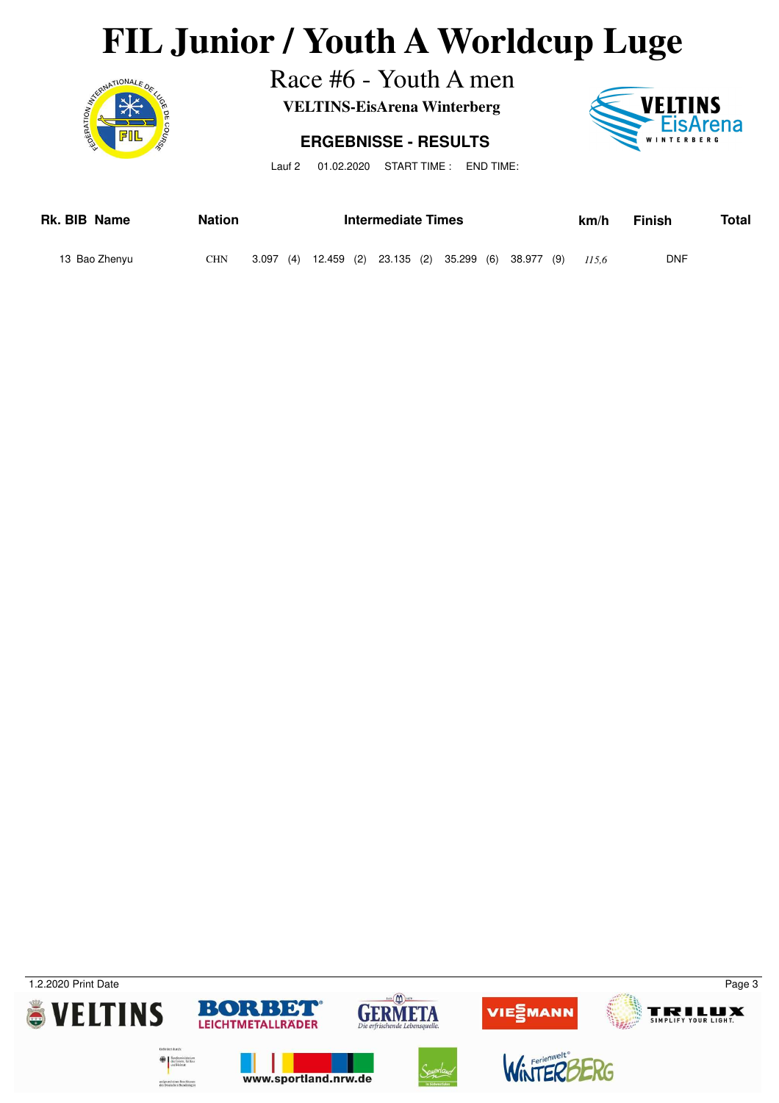# **FIL Junior / Youth A Worldcup Luge**<br>Race #6 - Youth A men vELTINS-EisArena Winterberg



Race #6 - Youth A men

**VELTINS-EisArena Winterberg**

### **ERGEBNISSE - RESULTS**



Lauf 2 01.02.2020 START TIME : END TIME:

| Rk. BIB Name  | <b>Nation</b> | Intermediate Times |  |  |  |  |                                                       |  |  |  | <b>Finish</b> | Total      |  |
|---------------|---------------|--------------------|--|--|--|--|-------------------------------------------------------|--|--|--|---------------|------------|--|
| 13 Bao Zhenyu | CHN           |                    |  |  |  |  | 3.097 (4) 12.459 (2) 23.135 (2) 35.299 (6) 38.977 (9) |  |  |  | 115.6         | <b>DNF</b> |  |

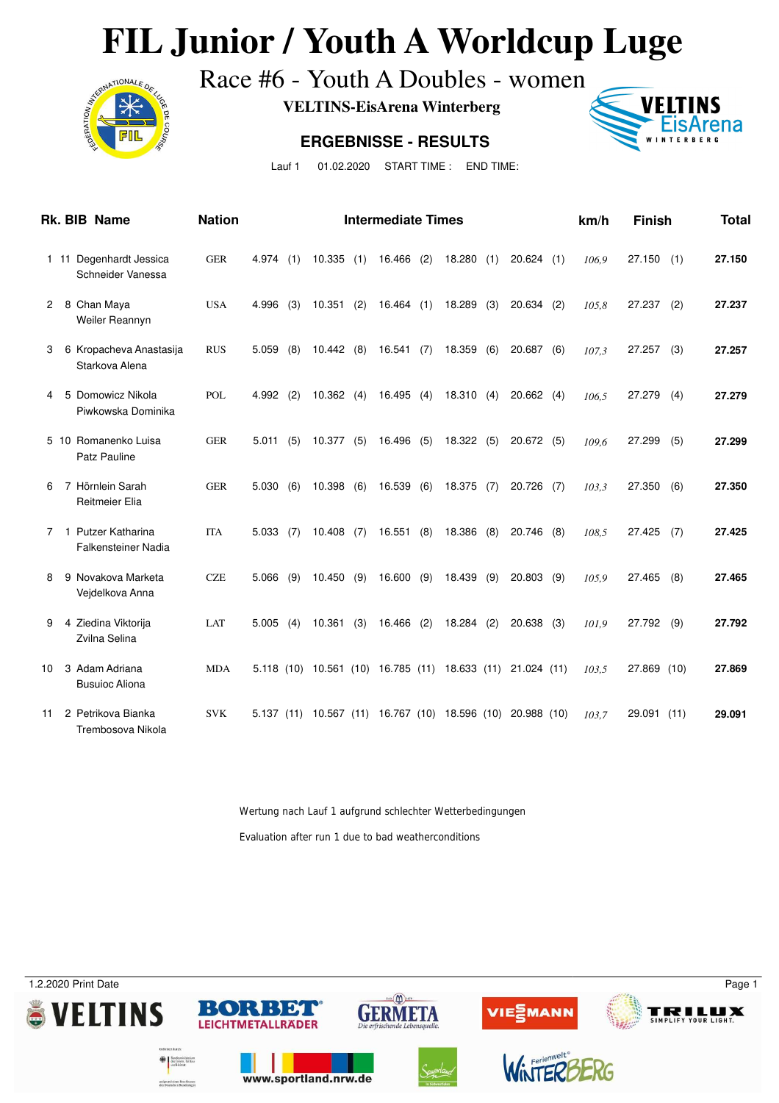### **FIL Junior / Youth A Worldcup Luge**<br>Race #6 - Youth A Doubles - women



Race #6 - Youth A Doubles - women

**VELTINS-EisArena Winterberg**

### **ERGEBNISSE - RESULTS**



Lauf 1 01.02.2020 START TIME : END TIME:

|                      |              | Rk. BIB Name                                   | <b>Nation</b> |          |     |           |     | <b>Intermediate Times</b> |     | km/h                                                       | <b>Finish</b> |              | Total |       |             |      |        |
|----------------------|--------------|------------------------------------------------|---------------|----------|-----|-----------|-----|---------------------------|-----|------------------------------------------------------------|---------------|--------------|-------|-------|-------------|------|--------|
|                      |              | 1 11 Degenhardt Jessica<br>Schneider Vanessa   | <b>GER</b>    | 4.974(1) |     | 10.335(1) |     | 16.466 (2)                |     | 18.280                                                     | (1)           | 20.624       | (1)   | 106.9 | 27.150      | (1)  | 27.150 |
| $\mathbf{2}^{\circ}$ |              | 8 Chan Maya<br>Weiler Reannyn                  | <b>USA</b>    | 4.996    | (3) | 10.351(2) |     | 16.464(1)                 |     | 18.289                                                     | (3)           | $20.634$ (2) |       | 105,8 | 27.237      | (2)  | 27.237 |
| 3                    |              | 6 Kropacheva Anastasija<br>Starkova Alena      | <b>RUS</b>    | 5.059    | (8) | 10.442(8) |     | 16.541(7)                 |     | 18.359                                                     | (6)           | 20.687       | (6)   | 107,3 | 27.257      | (3)  | 27.257 |
| 4                    |              | 5 Domowicz Nikola<br>Piwkowska Dominika        | POL           | 4.992    | (2) | 10.362(4) |     | 16.495(4)                 |     | 18.310                                                     | (4)           | $20.662$ (4) |       | 106.5 | 27.279      | (4)  | 27.279 |
|                      |              | 5 10 Romanenko Luisa<br>Patz Pauline           | <b>GER</b>    | 5.011    | (5) | 10.377(5) |     | 16.496 (5)                |     | 18.322(5)                                                  |               | 20.672 (5)   |       | 109,6 | 27.299      | (5)  | 27.299 |
| 6                    |              | 7 Hörnlein Sarah<br><b>Reitmeier Elia</b>      | <b>GER</b>    | 5.030    | (6) | 10.398    | (6) | 16.539 (6)                |     | 18.375(7)                                                  |               | 20.726 (7)   |       | 103.3 | 27.350      | (6)  | 27.350 |
| $7^{\circ}$          | $\mathbf{1}$ | Putzer Katharina<br><b>Falkensteiner Nadia</b> | <b>ITA</b>    | 5.033    | (7) | 10.408    | (7) | 16.551                    | (8) | 18.386                                                     | (8)           | 20.746 (8)   |       | 108.5 | 27.425      | (7)  | 27.425 |
| 8                    |              | 9 Novakova Marketa<br>Vejdelkova Anna          | <b>CZE</b>    | 5.066    | (9) | 10.450    | (9) | 16.600(9)                 |     | 18.439                                                     | (9)           | 20.803       | (9)   | 105.9 | 27.465      | (8)  | 27.465 |
| 9                    |              | 4 Ziedina Viktorija<br>Zvilna Selina           | LAT           | 5.005    | (4) | 10.361    | (3) | $16.466$ (2)              |     | 18.284(2)                                                  |               | 20.638       | (3)   | 101,9 | 27.792      | (9)  | 27.792 |
| 10                   |              | 3 Adam Adriana<br><b>Busuioc Aliona</b>        | <b>MDA</b>    |          |     |           |     |                           |     | 5.118 (10) 10.561 (10) 16.785 (11) 18.633 (11) 21.024 (11) |               |              |       | 103.5 | 27.869 (10) |      | 27.869 |
| 11                   |              | 2 Petrikova Bianka<br>Trembosova Nikola        | <b>SVK</b>    |          |     |           |     |                           |     | 5.137 (11) 10.567 (11) 16.767 (10) 18.596 (10) 20.988 (10) |               |              |       | 103.7 | 29.091      | (11) | 29.091 |

Wertung nach Lauf 1 aufgrund schlechter Wetterbedingungen Evaluation after run 1 due to bad weatherconditions